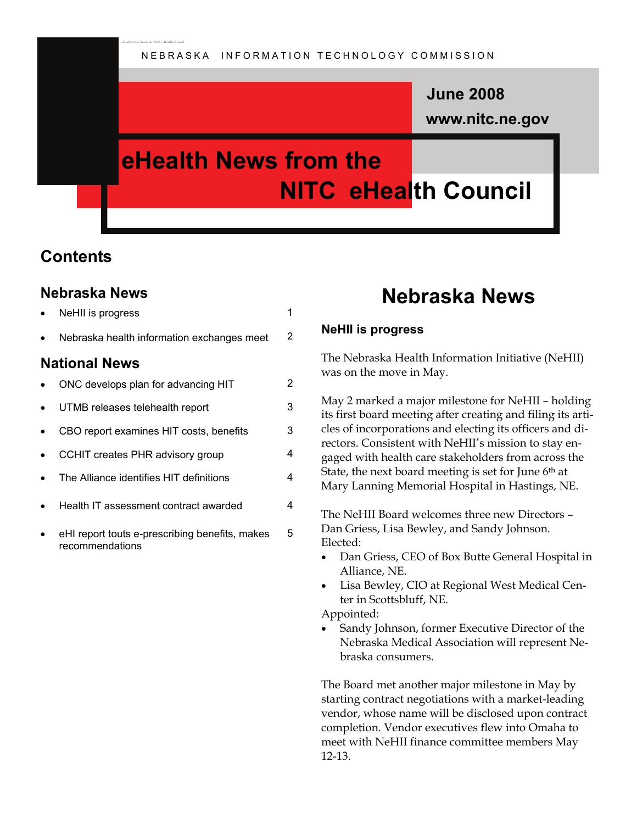### **www.nitc.ne.gov June 2008**

# **eHealth News from the NITC eHealth Council**

### **Contents**

### **Nebraska News**

| $\bullet$            | NeHII is progress                                                 | 1 |  |
|----------------------|-------------------------------------------------------------------|---|--|
| $\bullet$            | Nebraska health information exchanges meet                        | 2 |  |
| <b>National News</b> |                                                                   |   |  |
| $\bullet$            | ONC develops plan for advancing HIT                               | 2 |  |
| $\bullet$            | UTMB releases telehealth report                                   | 3 |  |
| $\bullet$            | CBO report examines HIT costs, benefits                           | 3 |  |
| $\bullet$            | CCHIT creates PHR advisory group                                  | 4 |  |
| $\bullet$            | The Alliance identifies HIT definitions                           | 4 |  |
| $\bullet$            | Health IT assessment contract awarded                             | 4 |  |
| $\bullet$            | eHI report touts e-prescribing benefits, makes<br>recommendations | 5 |  |

eHealth News from the NITC eHealth Council

### **Nebraska News**

### **NeHII is progress**

The Nebraska Health Information Initiative (NeHII) was on the move in May.

May 2 marked a major milestone for NeHII – holding its first board meeting after creating and filing its articles of incorporations and electing its officers and directors. Consistent with NeHII's mission to stay engaged with health care stakeholders from across the State, the next board meeting is set for June 6<sup>th</sup> at Mary Lanning Memorial Hospital in Hastings, NE.

The NeHII Board welcomes three new Directors – Dan Griess, Lisa Bewley, and Sandy Johnson. Elected:

- Dan Griess, CEO of Box Butte General Hospital in Alliance, NE.
- Lisa Bewley, CIO at Regional West Medical Center in Scottsbluff, NE.

Appointed:

Sandy Johnson, former Executive Director of the Nebraska Medical Association will represent Nebraska consumers.

The Board met another major milestone in May by starting contract negotiations with a market-leading vendor, whose name will be disclosed upon contract completion. Vendor executives flew into Omaha to meet with NeHII finance committee members May 12-13.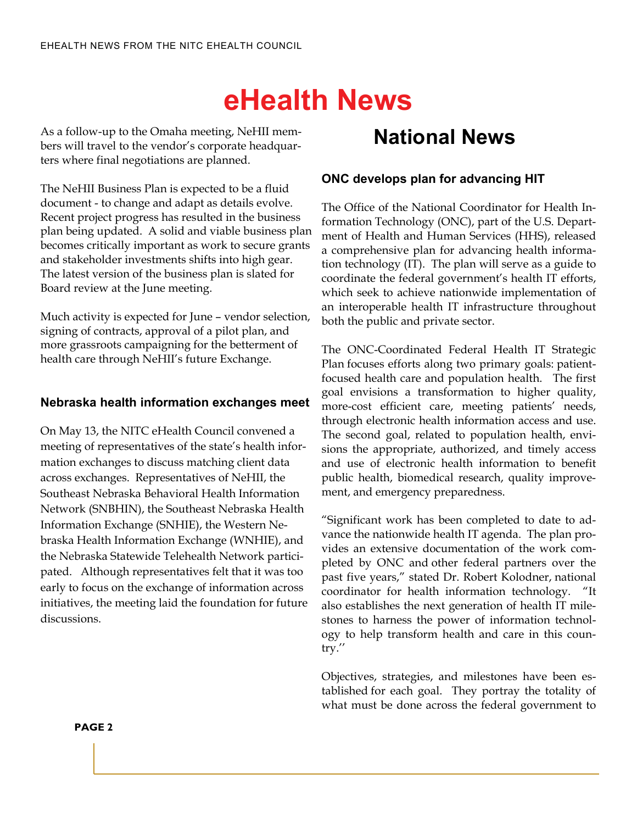# **eHealth News**

As a follow-up to the Omaha meeting, NeHII members will travel to the vendor's corporate headquarters where final negotiations are planned.

The NeHII Business Plan is expected to be a fluid document - to change and adapt as details evolve. Recent project progress has resulted in the business plan being updated. A solid and viable business plan becomes critically important as work to secure grants and stakeholder investments shifts into high gear. The latest version of the business plan is slated for Board review at the June meeting.

Much activity is expected for June – vendor selection, signing of contracts, approval of a pilot plan, and more grassroots campaigning for the betterment of health care through NeHII's future Exchange.

### **Nebraska health information exchanges meet**

On May 13, the NITC eHealth Council convened a meeting of representatives of the state's health information exchanges to discuss matching client data across exchanges. Representatives of NeHII, the Southeast Nebraska Behavioral Health Information Network (SNBHIN), the Southeast Nebraska Health Information Exchange (SNHIE), the Western Nebraska Health Information Exchange (WNHIE), and the Nebraska Statewide Telehealth Network participated. Although representatives felt that it was too early to focus on the exchange of information across initiatives, the meeting laid the foundation for future discussions.

## **National News**

### **ONC develops plan for advancing HIT**

The Office of the National Coordinator for Health Information Technology (ONC), part of the U.S. Department of Health and Human Services (HHS), released a comprehensive plan for advancing health information technology (IT). The plan will serve as a guide to coordinate the federal government's health IT efforts, which seek to achieve nationwide implementation of an interoperable health IT infrastructure throughout both the public and private sector.

The ONC-Coordinated Federal Health IT Strategic Plan focuses efforts along two primary goals: patientfocused health care and population health. The first goal envisions a transformation to higher quality, more-cost efficient care, meeting patients' needs, through electronic health information access and use. The second goal, related to population health, envisions the appropriate, authorized, and timely access and use of electronic health information to benefit public health, biomedical research, quality improvement, and emergency preparedness.

"Significant work has been completed to date to advance the nationwide health IT agenda. The plan provides an extensive documentation of the work completed by ONC and other federal partners over the past five years," stated Dr. Robert Kolodner, national coordinator for health information technology. "It also establishes the next generation of health IT milestones to harness the power of information technology to help transform health and care in this country.''

Objectives, strategies, and milestones have been established for each goal. They portray the totality of what must be done across the federal government to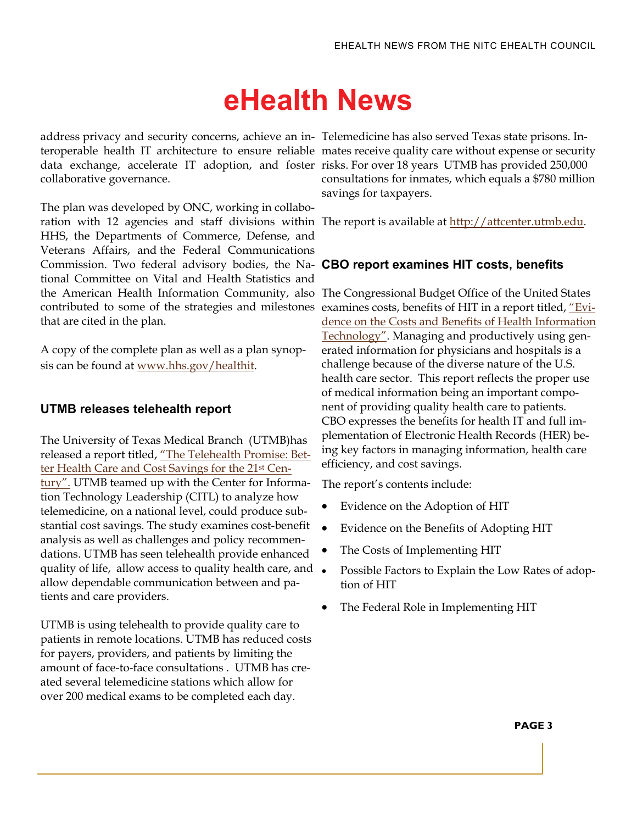# **eHealth News**

address privacy and security concerns, achieve an in-Telemedicine has also served Texas state prisons. Interoperable health IT architecture to ensure reliable mates receive quality care without expense or security data exchange, accelerate IT adoption, and foster risks. For over 18 years UTMB has provided 250,000 collaborative governance.

The plan was developed by ONC, working in collaboration with 12 agencies and staff divisions within The report is available at [http://attcenter.utmb.edu](http://attcenter.utmb.edu/). HHS, the Departments of Commerce, Defense, and Veterans Affairs, and the Federal Communications Commission. Two federal advisory bodies, the Na-**CBO report examines HIT costs, benefits**  tional Committee on Vital and Health Statistics and the American Health Information Community, also The Congressional Budget Office of the United States contributed to some of the strategies and milestones that are cited in the plan.

A copy of the complete plan as well as a plan synopsis can be found at [www.hhs.gov/healthit.](http://www.hhs.gov/healthit)

#### **UTMB releases telehealth report**

The University of Texas Medical Branch (UTMB)has released a report titled, ["The Telehealth Promise: Bet](http://attcenter.utmb.edu/presentations/The%20Telehealth%20Promise-Better%20Health%20Care%20and%20Cost%20Savings%20for%20the%2021st%20Century.pdf)[ter Health Care and Cost Savings for the 21st Cen](http://attcenter.utmb.edu/presentations/The%20Telehealth%20Promise-Better%20Health%20Care%20and%20Cost%20Savings%20for%20the%2021st%20Century.pdf)[tury".](http://attcenter.utmb.edu/presentations/The%20Telehealth%20Promise-Better%20Health%20Care%20and%20Cost%20Savings%20for%20the%2021st%20Century.pdf) UTMB teamed up with the Center for Information Technology Leadership (CITL) to analyze how telemedicine, on a national level, could produce substantial cost savings. The study examines cost-benefit analysis as well as challenges and policy recommendations. UTMB has seen telehealth provide enhanced quality of life, allow access to quality health care, and  $\bullet$ allow dependable communication between and patients and care providers.

UTMB is using telehealth to provide quality care to patients in remote locations. UTMB has reduced costs for payers, providers, and patients by limiting the amount of face-to-face consultations . UTMB has created several telemedicine stations which allow for over 200 medical exams to be completed each day.

consultations for inmates, which equals a \$780 million savings for taxpayers.

examines costs, benefits of HIT in a report titled, ["Evi](http://www.cbo.gov/ftpdocs/91xx/doc9168/05-20-HealthIT.pdf)[dence on the Costs and Benefits of Health Information](http://www.cbo.gov/ftpdocs/91xx/doc9168/05-20-HealthIT.pdf)  [Technology"](http://www.cbo.gov/ftpdocs/91xx/doc9168/05-20-HealthIT.pdf). Managing and productively using generated information for physicians and hospitals is a challenge because of the diverse nature of the U.S. health care sector. This report reflects the proper use of medical information being an important component of providing quality health care to patients. CBO expresses the benefits for health IT and full implementation of Electronic Health Records (HER) being key factors in managing information, health care efficiency, and cost savings.

The report's contents include:

- Evidence on the Adoption of HIT
- Evidence on the Benefits of Adopting HIT
- The Costs of Implementing HIT
- Possible Factors to Explain the Low Rates of adoption of HIT
- The Federal Role in Implementing HIT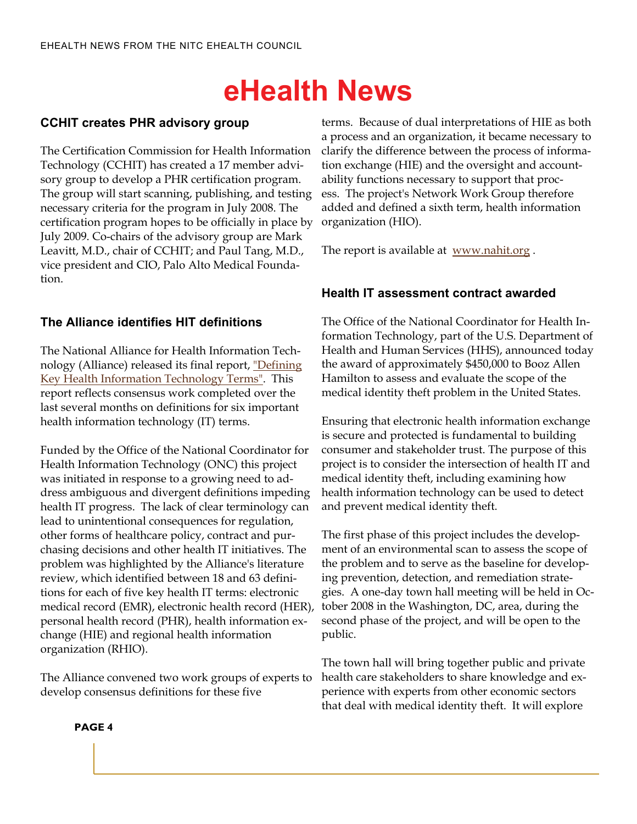# **eHealth News**

### **CCHIT creates PHR advisory group**

The Certification Commission for Health Information Technology (CCHIT) has created a 17 member advisory group to develop a PHR certification program. The group will start scanning, publishing, and testing necessary criteria for the program in July 2008. The certification program hopes to be officially in place by July 2009. Co-chairs of the advisory group are Mark Leavitt, M.D., chair of CCHIT; and Paul Tang, M.D., vice president and CIO, Palo Alto Medical Foundation.

### **The Alliance identifies HIT definitions**

The National Alliance for Health Information Technology (Alliance) released its final report, ["Defining](http://www.nahit.org)  [Key Health Information Technology Terms"](http://www.nahit.org). This report reflects consensus work completed over the last several months on definitions for six important health information technology (IT) terms.

Funded by the Office of the National Coordinator for Health Information Technology (ONC) this project was initiated in response to a growing need to address ambiguous and divergent definitions impeding health IT progress. The lack of clear terminology can lead to unintentional consequences for regulation, other forms of healthcare policy, contract and purchasing decisions and other health IT initiatives. The problem was highlighted by the Alliance's literature review, which identified between 18 and 63 definitions for each of five key health IT terms: electronic medical record (EMR), electronic health record (HER), personal health record (PHR), health information exchange (HIE) and regional health information organization (RHIO).

The Alliance convened two work groups of experts to develop consensus definitions for these five

terms. Because of dual interpretations of HIE as both a process and an organization, it became necessary to clarify the difference between the process of information exchange (HIE) and the oversight and accountability functions necessary to support that process. The project's Network Work Group therefore added and defined a sixth term, health information organization (HIO).

The report is available at [www.nahit.org](http://www.nahit.org).

### **Health IT assessment contract awarded**

The Office of the National Coordinator for Health Information Technology, part of the U.S. Department of Health and Human Services (HHS), announced today the award of approximately \$450,000 to Booz Allen Hamilton to assess and evaluate the scope of the medical identity theft problem in the United States.

Ensuring that electronic health information exchange is secure and protected is fundamental to building consumer and stakeholder trust. The purpose of this project is to consider the intersection of health IT and medical identity theft, including examining how health information technology can be used to detect and prevent medical identity theft.

The first phase of this project includes the development of an environmental scan to assess the scope of the problem and to serve as the baseline for developing prevention, detection, and remediation strategies. A one-day town hall meeting will be held in October 2008 in the Washington, DC, area, during the second phase of the project, and will be open to the public.

The town hall will bring together public and private health care stakeholders to share knowledge and experience with experts from other economic sectors that deal with medical identity theft. It will explore

#### **PAGE 4**